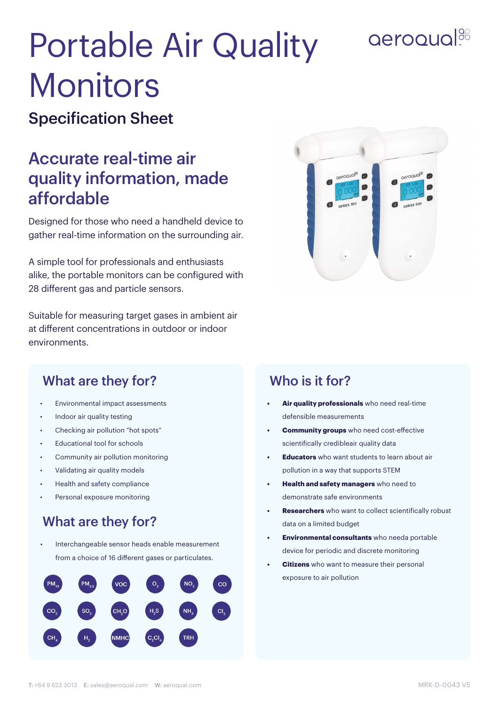## aeroqual<sup>38</sup>

# Portable Air Quality **Monitors**

#### Specification Sheet

### Accurate real-time air quality information, made affordable

Designed for those who need a handheld device to gather real-time information on the surrounding air.

A simple tool for professionals and enthusiasts alike, the portable monitors can be configured with 28 different gas and particle sensors.

Suitable for measuring target gases in ambient air at different concentrations in outdoor or indoor environments.



#### What are they for? Who is it for?

- Environmental impact assessments
- Indoor air quality testing
- Checking air pollution "hot spots"
- Educational tool for schools
- Community air pollution monitoring
- Validating air quality models
- Health and safety compliance
- Personal exposure monitoring

#### What are they for?

Interchangeable sensor heads enable measurement from a choice of 16 different gases or particulates.



- **• Air quality professionals** who need real-time defensible measurements
- **• Community groups** who need cost-effective scientifically credibleair quality data
- **• Educators** who want students to learn about air pollution in a way that supports STEM
- **• Health and safety managers** who need to demonstrate safe environments
- **• Researchers** who want to collect scientifically robust data on a limited budget
- **• Environmental consultants** who needa portable device for periodic and discrete monitoring
- **• Citizens** who want to measure their personal exposure to air pollution